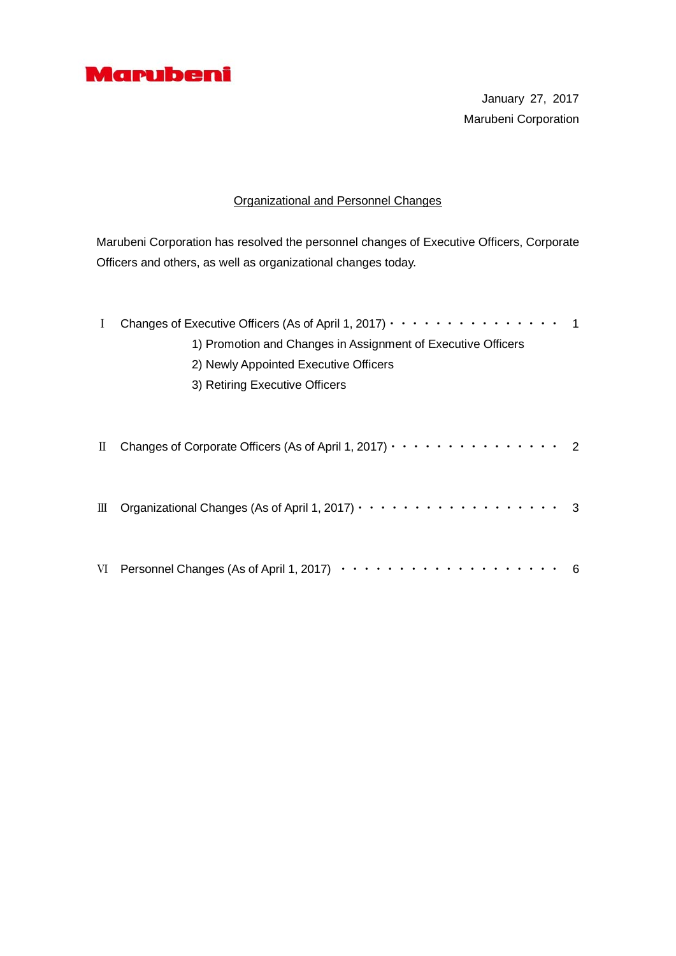

January 27, 2017 Marubeni Corporation

# Organizational and Personnel Changes

Marubeni Corporation has resolved the personnel changes of Executive Officers, Corporate Officers and others, as well as organizational changes today.

| L | Changes of Executive Officers (As of April 1, 2017) $\cdots$ $\cdots$ $\cdots$ $\cdots$ $\cdots$ $\cdots$ 1                                       |  |  |  |
|---|---------------------------------------------------------------------------------------------------------------------------------------------------|--|--|--|
|   | 1) Promotion and Changes in Assignment of Executive Officers                                                                                      |  |  |  |
|   | 2) Newly Appointed Executive Officers                                                                                                             |  |  |  |
|   | 3) Retiring Executive Officers                                                                                                                    |  |  |  |
|   |                                                                                                                                                   |  |  |  |
|   |                                                                                                                                                   |  |  |  |
| П | Changes of Corporate Officers (As of April 1, 2017) $\cdot \cdot \cdot \cdot \cdot \cdot \cdot \cdot \cdot \cdot \cdot \cdot \cdot \cdot \cdot 2$ |  |  |  |
|   |                                                                                                                                                   |  |  |  |
|   |                                                                                                                                                   |  |  |  |
| Ш | Organizational Changes (As of April 1, 2017) ··················· 3                                                                                |  |  |  |
|   |                                                                                                                                                   |  |  |  |
|   |                                                                                                                                                   |  |  |  |
|   | VI Personnel Changes (As of April 1, 2017)<br>- 6                                                                                                 |  |  |  |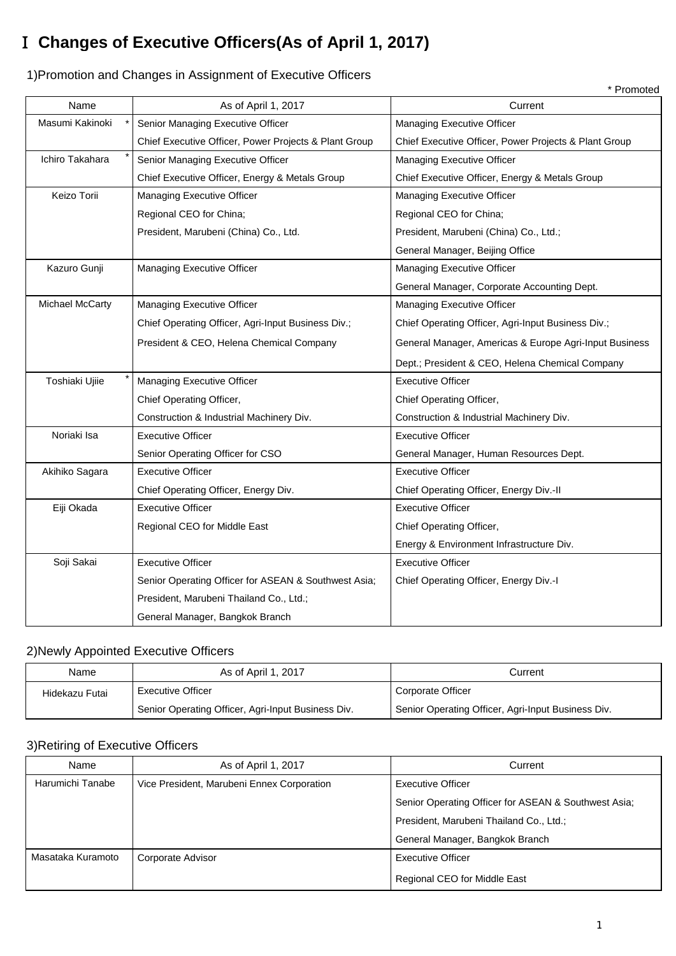# Ⅰ **Changes of Executive Officers(As of April 1, 2017)**

\* Promoted Name  $\overline{a}$  As of April 1, 2017 **Current** \* Senior Managing Executive Officer Managing Executive Officer Managing Executive Officer Chief Executive Officer, Power Projects & Plant Group | Chief Executive Officer, Power Projects & Plant Group \* Senior Managing Executive Officer Managing Executive Officer Nanaging Executive Officer Chief Executive Officer, Energy & Metals Group | Chief Executive Officer, Energy & Metals Group Managing Executive Officer Regional CEO for China; Managing Executive Officer Regional CEO for China; President, Marubeni (China) Co., Ltd. President, Marubeni (China) Co., Ltd.; General Manager, Beijing Office Managing Executive Officer Managing Executive Officer General Manager, Corporate Accounting Dept. Managing Executive Officer Managing Executive Officer Chief Operating Officer, Agri-Input Business Div.; Chief Operating Officer, Agri-Input Business Div.; President & CEO, Helena Chemical Company General Manager, Americas & Europe Agri-Input Business Dept.; President & CEO, Helena Chemical Company Managing Executive Officer **Executive Officer** Executive Officer Chief Operating Officer, Chief Operating Officer, Construction & Industrial Machinery Div. Construction & Industrial Machinery Div. Executive Officer **Executive Officer Executive Officer** Senior Operating Officer for CSO General Manager, Human Resources Dept. Executive Officer Executive Officer Chief Operating Officer, Energy Div. Chief Operating Officer, Energy Div.-II Executive Officer **Executive Officer Executive Officer** Regional CEO for Middle East Chief Operating Officer, Energy & Environment Infrastructure Div. Executive Officer **Executive Officer Executive Officer** Senior Operating Officer for ASEAN & Southwest Asia; Chief Operating Officer, Energy Div.-I President, Marubeni Thailand Co., Ltd.; General Manager, Bangkok Branch Noriaki Isa Masumi Kakinoki Ichiro Takahara Keizo Torii Kazuro Gunji Michael McCarty Toshiaki Ujiie Akihiko Sagara Eiji Okada Soji Sakai

# 1)Promotion and Changes in Assignment of Executive Officers

# 2)Newly Appointed Executive Officers

| Name           | As of April 1, 2017                                | Current                                            |
|----------------|----------------------------------------------------|----------------------------------------------------|
| Hidekazu Futai | <b>Executive Officer</b>                           | Corporate Officer                                  |
|                | Senior Operating Officer, Agri-Input Business Div. | Senior Operating Officer, Agri-Input Business Div. |

#### 3)Retiring of Executive Officers

| Name              | As of April 1, 2017                        | Current                                              |
|-------------------|--------------------------------------------|------------------------------------------------------|
| Harumichi Tanabe  | Vice President, Marubeni Ennex Corporation | <b>Executive Officer</b>                             |
|                   |                                            | Senior Operating Officer for ASEAN & Southwest Asia; |
|                   |                                            | President, Marubeni Thailand Co., Ltd.;              |
|                   |                                            | General Manager, Bangkok Branch                      |
| Masataka Kuramoto | Corporate Advisor                          | <b>Executive Officer</b>                             |
|                   |                                            | Regional CEO for Middle East                         |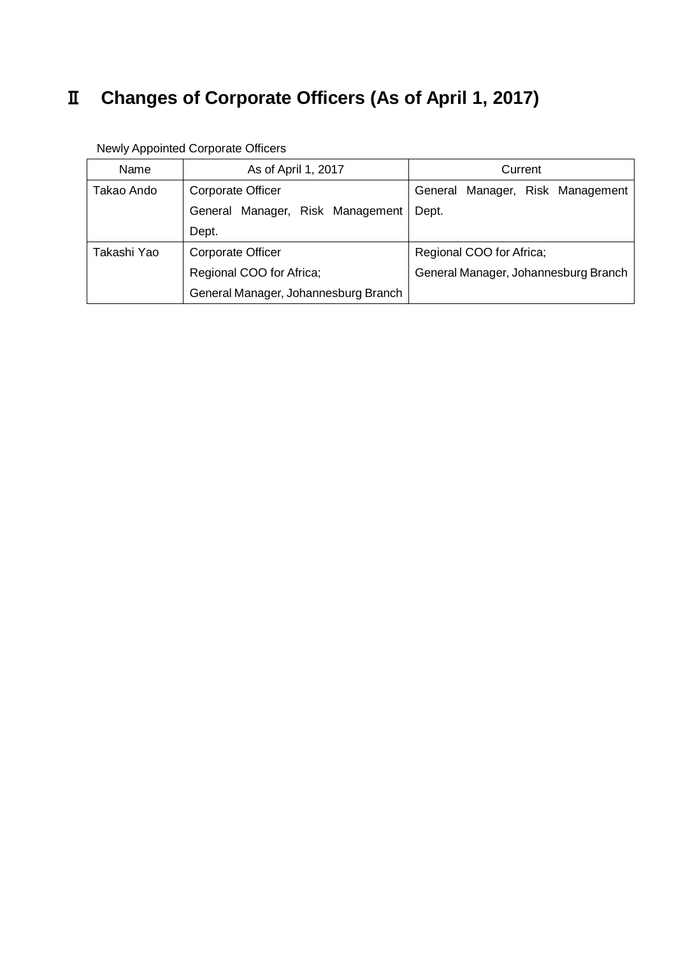# Ⅱ **Changes of Corporate Officers (As of April 1, 2017)**

| Name        | As of April 1, 2017<br>Current       |                                      |
|-------------|--------------------------------------|--------------------------------------|
| Takao Ando  | Corporate Officer                    | Manager, Risk Management<br>General  |
|             | General Manager, Risk Management     | Dept.                                |
|             | Dept.                                |                                      |
| Takashi Yao | Corporate Officer                    | Regional COO for Africa;             |
|             | Regional COO for Africa;             | General Manager, Johannesburg Branch |
|             | General Manager, Johannesburg Branch |                                      |

Newly Appointed Corporate Officers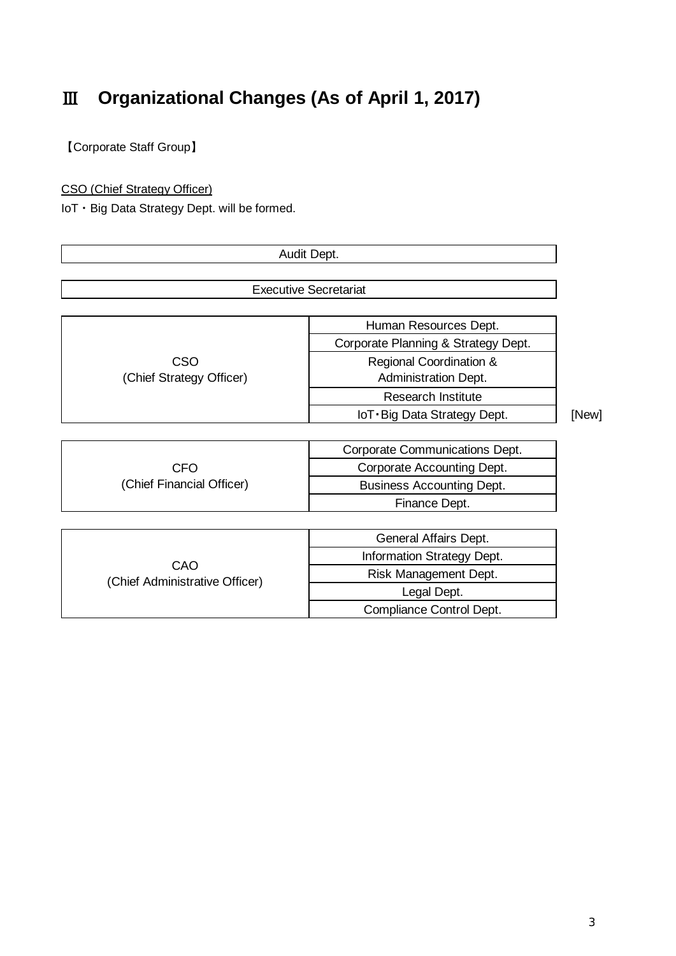# Ⅲ **Organizational Changes (As of April 1, 2017)**

【Corporate Staff Group】

CSO (Chief Strategy Officer)

IoT・Big Data Strategy Dept. will be formed.

|                                       | Audit Dept.                                                  |       |
|---------------------------------------|--------------------------------------------------------------|-------|
|                                       | <b>Executive Secretariat</b>                                 |       |
|                                       |                                                              |       |
|                                       | Human Resources Dept.<br>Corporate Planning & Strategy Dept. |       |
| CSO<br>(Chief Strategy Officer)       | Regional Coordination &<br><b>Administration Dept.</b>       |       |
|                                       | <b>Research Institute</b>                                    |       |
|                                       | IoT · Big Data Strategy Dept.                                | [New] |
|                                       |                                                              |       |
|                                       | Corporate Communications Dept.                               |       |
| <b>CFO</b>                            | Corporate Accounting Dept.                                   |       |
| (Chief Financial Officer)             | <b>Business Accounting Dept.</b>                             |       |
|                                       | Finance Dept.                                                |       |
|                                       |                                                              |       |
|                                       | General Affairs Dept.                                        |       |
|                                       | Information Strategy Dept.                                   |       |
| CAO<br>(Chief Administrative Officer) | Risk Management Dept.                                        |       |
|                                       | Legal Dept.                                                  |       |
|                                       | Compliance Control Dept.                                     |       |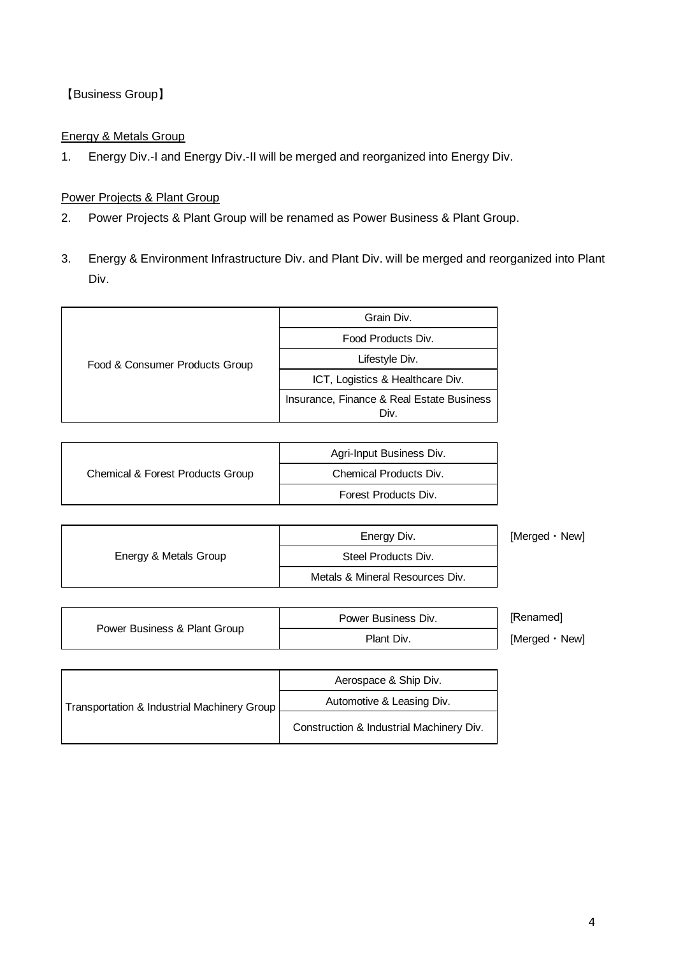# 【Business Group】

#### Energy & Metals Group

1. Energy Div.-I and Energy Div.-II will be merged and reorganized into Energy Div.

#### Power Projects & Plant Group

- 2. Power Projects & Plant Group will be renamed as Power Business & Plant Group.
- 3. Energy & Environment Infrastructure Div. and Plant Div. will be merged and reorganized into Plant Div.

|                                | Grain Div.                                        |
|--------------------------------|---------------------------------------------------|
|                                | Food Products Div.                                |
| Food & Consumer Products Group | Lifestyle Div.                                    |
|                                | ICT, Logistics & Healthcare Div.                  |
|                                | Insurance, Finance & Real Estate Business<br>Div. |
|                                |                                                   |

|                                  | Agri-Input Business Div. |
|----------------------------------|--------------------------|
| Chemical & Forest Products Group | Chemical Products Div.   |
|                                  | Forest Products Div.     |

|                       | Energy Div.                     | [Merged · New] |
|-----------------------|---------------------------------|----------------|
| Energy & Metals Group | Steel Products Div.             |                |
|                       | Metals & Mineral Resources Div. |                |

|                              | Power Business Div. | [Renamed]        |
|------------------------------|---------------------|------------------|
| Power Business & Plant Group | Plant Div.          | [Merged •<br>New |

| Transportation & Industrial Machinery Group | Aerospace & Ship Div.                    |
|---------------------------------------------|------------------------------------------|
|                                             | Automotive & Leasing Div.                |
|                                             | Construction & Industrial Machinery Div. |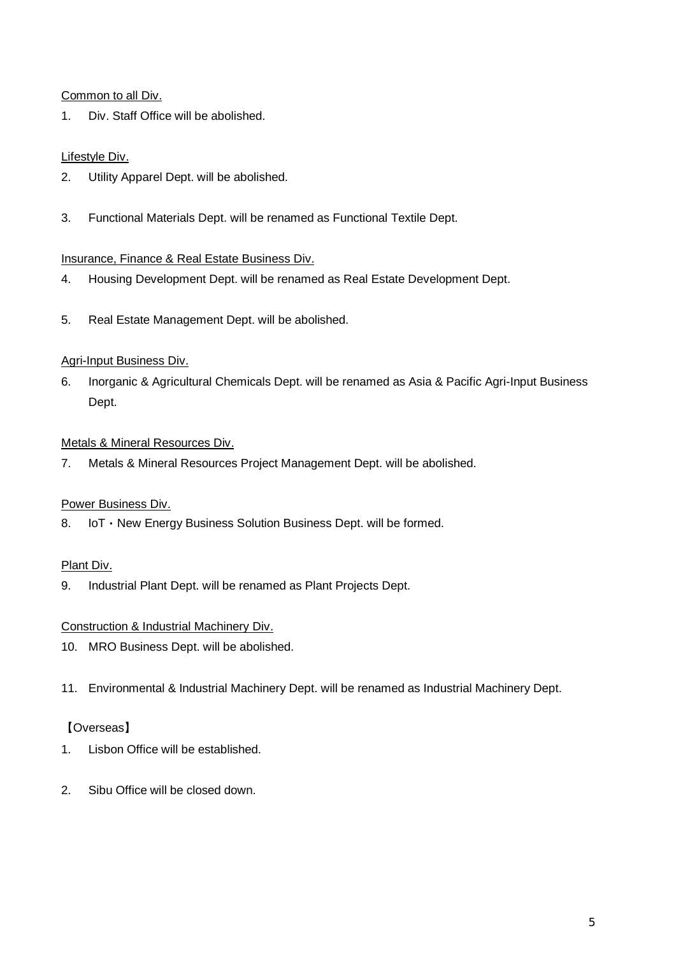Common to all Div.

1. Div. Staff Office will be abolished.

## Lifestyle Div.

- 2. Utility Apparel Dept. will be abolished.
- 3. Functional Materials Dept. will be renamed as Functional Textile Dept.

#### Insurance, Finance & Real Estate Business Div.

- 4. Housing Development Dept. will be renamed as Real Estate Development Dept.
- 5. Real Estate Management Dept. will be abolished.

#### Agri-Input Business Div.

6. Inorganic & Agricultural Chemicals Dept. will be renamed as Asia & Pacific Agri-Input Business Dept.

#### Metals & Mineral Resources Div.

7. Metals & Mineral Resources Project Management Dept. will be abolished.

## Power Business Div.

8. IoT · New Energy Business Solution Business Dept. will be formed.

#### Plant Div.

9. Industrial Plant Dept. will be renamed as Plant Projects Dept.

#### Construction & Industrial Machinery Div.

- 10. MRO Business Dept. will be abolished.
- 11. Environmental & Industrial Machinery Dept. will be renamed as Industrial Machinery Dept.

## 【Overseas】

- 1. Lisbon Office will be established.
- 2. Sibu Office will be closed down.